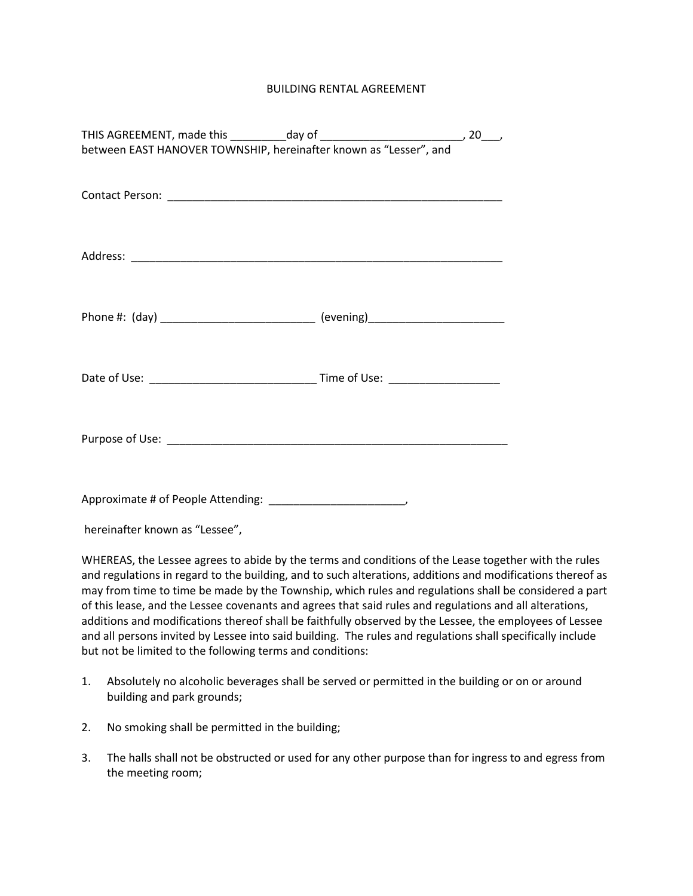## BUILDING RENTAL AGREEMENT

| between EAST HANOVER TOWNSHIP, hereinafter known as "Lesser", and                |  |  |  |  |
|----------------------------------------------------------------------------------|--|--|--|--|
|                                                                                  |  |  |  |  |
|                                                                                  |  |  |  |  |
|                                                                                  |  |  |  |  |
|                                                                                  |  |  |  |  |
|                                                                                  |  |  |  |  |
|                                                                                  |  |  |  |  |
|                                                                                  |  |  |  |  |
| Phone #: (day) _____________________________ (evening)__________________________ |  |  |  |  |
|                                                                                  |  |  |  |  |
|                                                                                  |  |  |  |  |
|                                                                                  |  |  |  |  |
|                                                                                  |  |  |  |  |
|                                                                                  |  |  |  |  |
|                                                                                  |  |  |  |  |
|                                                                                  |  |  |  |  |
|                                                                                  |  |  |  |  |

hereinafter known as "Lessee",

WHEREAS, the Lessee agrees to abide by the terms and conditions of the Lease together with the rules and regulations in regard to the building, and to such alterations, additions and modifications thereof as may from time to time be made by the Township, which rules and regulations shall be considered a part of this lease, and the Lessee covenants and agrees that said rules and regulations and all alterations, additions and modifications thereof shall be faithfully observed by the Lessee, the employees of Lessee and all persons invited by Lessee into said building. The rules and regulations shall specifically include but not be limited to the following terms and conditions:

- 1. Absolutely no alcoholic beverages shall be served or permitted in the building or on or around building and park grounds;
- 2. No smoking shall be permitted in the building;
- 3. The halls shall not be obstructed or used for any other purpose than for ingress to and egress from the meeting room;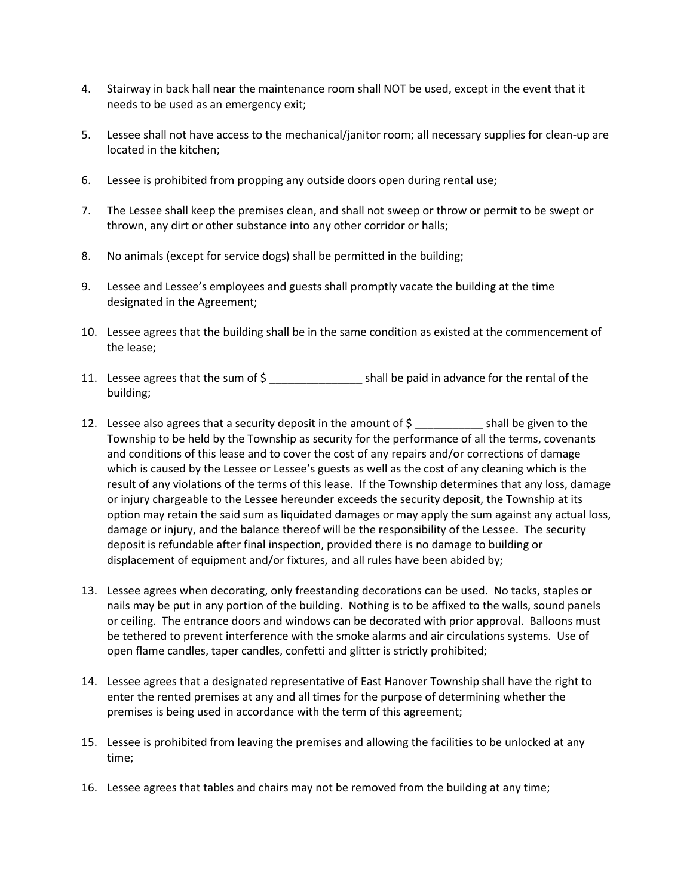- 4. Stairway in back hall near the maintenance room shall NOT be used, except in the event that it needs to be used as an emergency exit;
- 5. Lessee shall not have access to the mechanical/janitor room; all necessary supplies for clean-up are located in the kitchen;
- 6. Lessee is prohibited from propping any outside doors open during rental use;
- 7. The Lessee shall keep the premises clean, and shall not sweep or throw or permit to be swept or thrown, any dirt or other substance into any other corridor or halls;
- 8. No animals (except for service dogs) shall be permitted in the building;
- 9. Lessee and Lessee's employees and guests shall promptly vacate the building at the time designated in the Agreement;
- 10. Lessee agrees that the building shall be in the same condition as existed at the commencement of the lease;
- 11. Lessee agrees that the sum of \$ \_\_\_\_\_\_\_\_\_\_\_\_\_\_\_ shall be paid in advance for the rental of the building;
- 12. Lessee also agrees that a security deposit in the amount of  $\zeta$  \_\_\_\_\_\_\_\_\_\_\_ shall be given to the Township to be held by the Township as security for the performance of all the terms, covenants and conditions of this lease and to cover the cost of any repairs and/or corrections of damage which is caused by the Lessee or Lessee's guests as well as the cost of any cleaning which is the result of any violations of the terms of this lease. If the Township determines that any loss, damage or injury chargeable to the Lessee hereunder exceeds the security deposit, the Township at its option may retain the said sum as liquidated damages or may apply the sum against any actual loss, damage or injury, and the balance thereof will be the responsibility of the Lessee. The security deposit is refundable after final inspection, provided there is no damage to building or displacement of equipment and/or fixtures, and all rules have been abided by;
- 13. Lessee agrees when decorating, only freestanding decorations can be used. No tacks, staples or nails may be put in any portion of the building. Nothing is to be affixed to the walls, sound panels or ceiling. The entrance doors and windows can be decorated with prior approval. Balloons must be tethered to prevent interference with the smoke alarms and air circulations systems. Use of open flame candles, taper candles, confetti and glitter is strictly prohibited;
- 14. Lessee agrees that a designated representative of East Hanover Township shall have the right to enter the rented premises at any and all times for the purpose of determining whether the premises is being used in accordance with the term of this agreement;
- 15. Lessee is prohibited from leaving the premises and allowing the facilities to be unlocked at any time;
- 16. Lessee agrees that tables and chairs may not be removed from the building at any time;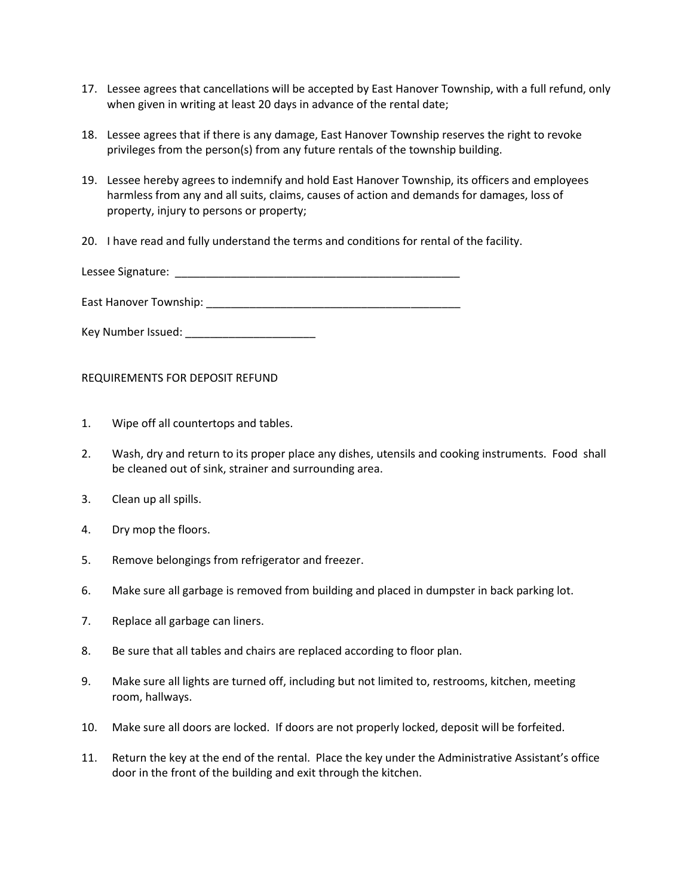- 17. Lessee agrees that cancellations will be accepted by East Hanover Township, with a full refund, only when given in writing at least 20 days in advance of the rental date;
- 18. Lessee agrees that if there is any damage, East Hanover Township reserves the right to revoke privileges from the person(s) from any future rentals of the township building.
- 19. Lessee hereby agrees to indemnify and hold East Hanover Township, its officers and employees harmless from any and all suits, claims, causes of action and demands for damages, loss of property, injury to persons or property;
- 20. I have read and fully understand the terms and conditions for rental of the facility.

Lessee Signature: \_\_\_\_\_\_\_\_\_\_\_\_\_\_\_\_\_\_\_\_\_\_\_\_\_\_\_\_\_\_\_\_\_\_\_\_\_\_\_\_\_\_\_\_\_\_

East Hanover Township: \_\_\_\_\_\_\_\_\_\_\_\_\_\_\_\_\_\_\_\_\_\_\_\_\_\_\_\_\_\_\_\_\_\_\_\_\_\_\_\_\_

Key Number Issued: \_\_\_\_\_\_\_\_\_\_\_\_\_\_\_\_\_\_\_\_\_

REQUIREMENTS FOR DEPOSIT REFUND

- 1. Wipe off all countertops and tables.
- 2. Wash, dry and return to its proper place any dishes, utensils and cooking instruments. Food shall be cleaned out of sink, strainer and surrounding area.
- 3. Clean up all spills.
- 4. Dry mop the floors.
- 5. Remove belongings from refrigerator and freezer.
- 6. Make sure all garbage is removed from building and placed in dumpster in back parking lot.
- 7. Replace all garbage can liners.
- 8. Be sure that all tables and chairs are replaced according to floor plan.
- 9. Make sure all lights are turned off, including but not limited to, restrooms, kitchen, meeting room, hallways.
- 10. Make sure all doors are locked. If doors are not properly locked, deposit will be forfeited.
- 11. Return the key at the end of the rental. Place the key under the Administrative Assistant's office door in the front of the building and exit through the kitchen.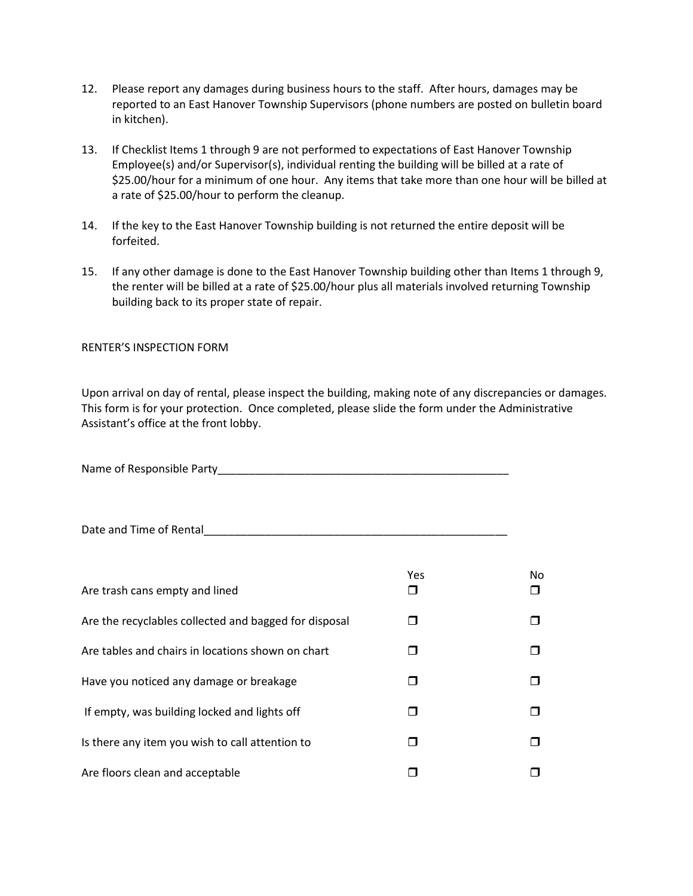- 12. Please report any damages during business hours to the staff. After hours, damages may be reported to an East Hanover Township Supervisors (phone numbers are posted on bulletin board in kitchen).
- 13. If Checklist Items 1 through 9 are not performed to expectations of East Hanover Township Employee(s) and/or Supervisor(s), individual renting the building will be billed at a rate of \$25.00/hour for a minimum of one hour. Any items that take more than one hour will be billed at a rate of \$25.00/hour to perform the cleanup.
- 14. If the key to the East Hanover Township building is not returned the entire deposit will be forfeited.
- 15. If any other damage is done to the East Hanover Township building other than Items 1 through 9, the renter will be billed at a rate of \$25.00/hour plus all materials involved returning Township building back to its proper state of repair.

RENTER'S INSPECTION FORM

Upon arrival on day of rental, please inspect the building, making note of any discrepancies or damages. This form is for your protection. Once completed, please slide the form under the Administrative Assistant's office at the front lobby.

| Name of Responsible Party |  |
|---------------------------|--|
|                           |  |

Date and Time of Rental

| Are trash cans empty and lined                        | Yes | No |
|-------------------------------------------------------|-----|----|
| Are the recyclables collected and bagged for disposal |     |    |
| Are tables and chairs in locations shown on chart     |     |    |
| Have you noticed any damage or breakage               |     |    |
| If empty, was building locked and lights off          |     |    |
| Is there any item you wish to call attention to       |     |    |
| Are floors clean and acceptable                       |     |    |